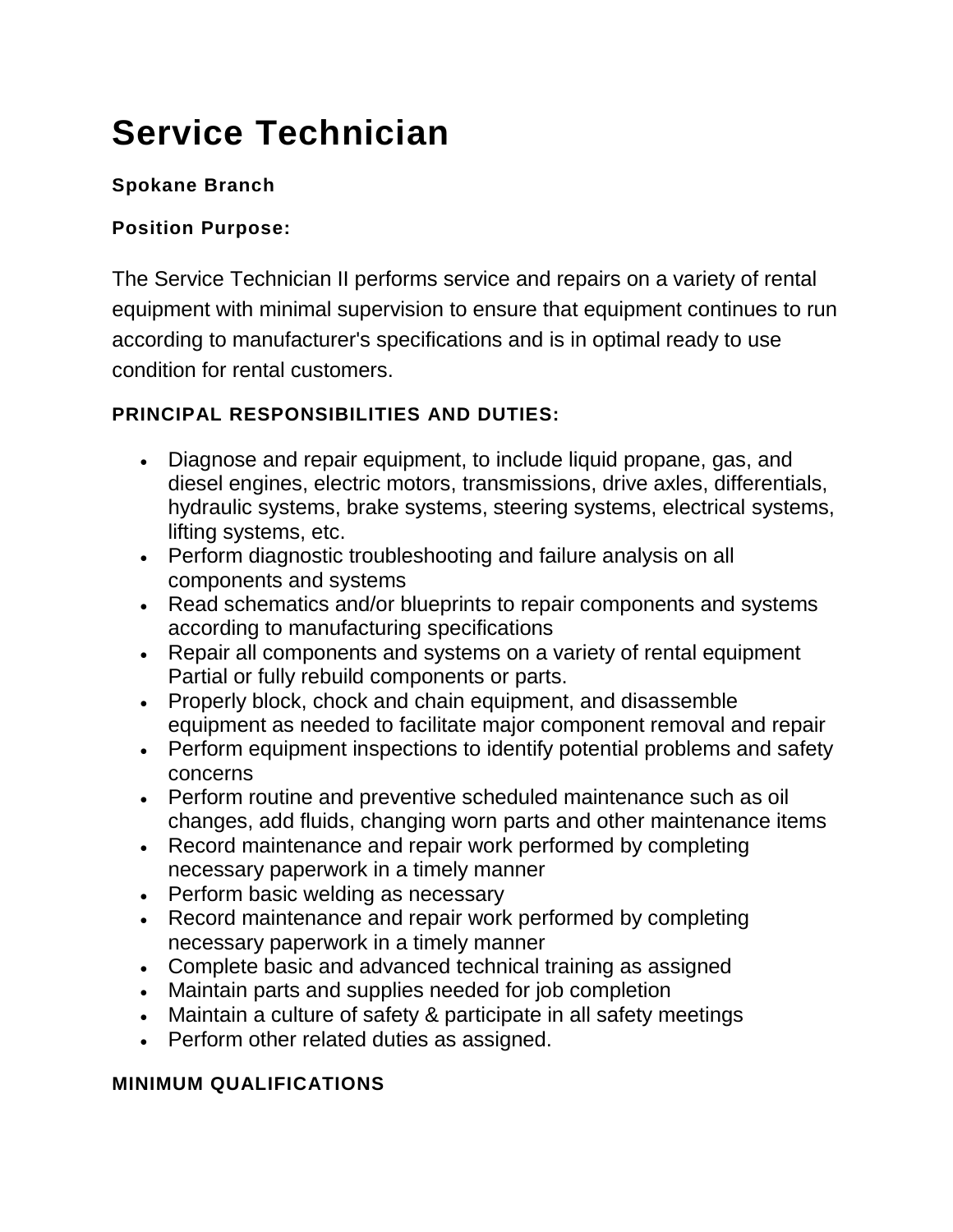# **Service Technician**

## **Spokane Branch**

#### **Position Purpose:**

The Service Technician II performs service and repairs on a variety of rental equipment with minimal supervision to ensure that equipment continues to run according to manufacturer's specifications and is in optimal ready to use condition for rental customers.

## **PRINCIPAL RESPONSIBILITIES AND DUTIES:**

- Diagnose and repair equipment, to include liquid propane, gas, and diesel engines, electric motors, transmissions, drive axles, differentials, hydraulic systems, brake systems, steering systems, electrical systems, lifting systems, etc.
- Perform diagnostic troubleshooting and failure analysis on all components and systems
- Read schematics and/or blueprints to repair components and systems according to manufacturing specifications
- Repair all components and systems on a variety of rental equipment Partial or fully rebuild components or parts.
- Properly block, chock and chain equipment, and disassemble equipment as needed to facilitate major component removal and repair
- Perform equipment inspections to identify potential problems and safety concerns
- Perform routine and preventive scheduled maintenance such as oil changes, add fluids, changing worn parts and other maintenance items
- Record maintenance and repair work performed by completing necessary paperwork in a timely manner
- Perform basic welding as necessary
- Record maintenance and repair work performed by completing necessary paperwork in a timely manner
- Complete basic and advanced technical training as assigned
- Maintain parts and supplies needed for job completion
- Maintain a culture of safety & participate in all safety meetings
- Perform other related duties as assigned.

#### **MINIMUM QUALIFICATIONS**